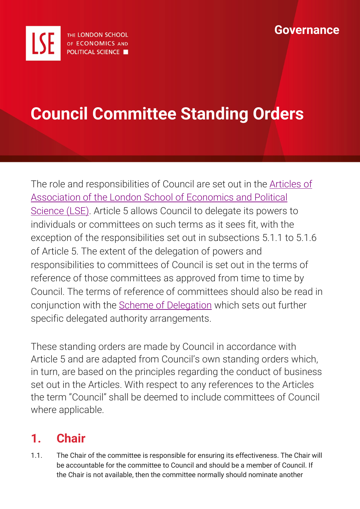

# **Council Committee Standing Orders**

The role and responsibilities of Council are set out in the [Articles of](https://info.lse.ac.uk/staff/services/Policies-and-procedures/Assets/Documents/Articles-of-Association.pdf)  [Association of the London School of Economics and Political](https://info.lse.ac.uk/staff/services/Policies-and-procedures/Assets/Documents/Articles-of-Association.pdf)  [Science](https://info.lse.ac.uk/staff/services/Policies-and-procedures/Assets/Documents/Articles-of-Association.pdf) (LSE). Article 5 allows Council to delegate its powers to individuals or committees on such terms as it sees fit, with the exception of the responsibilities set out in subsections 5.1.1 to 5.1.6 of Article 5. The extent of the delegation of powers and responsibilities to committees of Council is set out in the terms of reference of those committees as approved from time to time by Council. The terms of reference of committees should also be read in conjunction with the [Scheme of Delegation](https://info.lse.ac.uk/staff/divisions/Secretarys-Division/Assets/Documents/Governance/Council/Scheme-of-Delegation-Approved-Nov-2019.pdf) which sets out further specific delegated authority arrangements.

These standing orders are made by Council in accordance with Article 5 and are adapted from Council's own standing orders which, in turn, are based on the principles regarding the conduct of business set out in the Articles. With respect to any references to the Articles the term "Council" shall be deemed to include committees of Council where applicable.

# **1. Chair**

1.1. The Chair of the committee is responsible for ensuring its effectiveness. The Chair will be accountable for the committee to Council and should be a member of Council. If the Chair is not available, then the committee normally should nominate another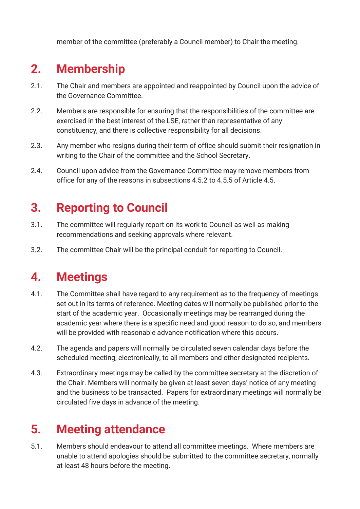member of the committee (preferably a Council member) to Chair the meeting.

# **2. Membership**

- 2.1. The Chair and members are appointed and reappointed by Council upon the advice of the Governance Committee.
- 2.2. Members are responsible for ensuring that the responsibilities of the committee are exercised in the best interest of the LSE, rather than representative of any constituency, and there is collective responsibility for all decisions.
- 2.3. Any member who resigns during their term of office should submit their resignation in writing to the Chair of the committee and the School Secretary.
- 2.4. Council upon advice from the Governance Committee may remove members from office for any of the reasons in subsections 4.5.2 to 4.5.5 of Article 4.5.

# **3. Reporting to Council**

- 3.1. The committee will regularly report on its work to Council as well as making recommendations and seeking approvals where relevant.
- 3.2. The committee Chair will be the principal conduit for reporting to Council.

#### **4. Meetings**

- 4.1. The Committee shall have regard to any requirement as to the frequency of meetings set out in its terms of reference. Meeting dates will normally be published prior to the start of the academic year. Occasionally meetings may be rearranged during the academic year where there is a specific need and good reason to do so, and members will be provided with reasonable advance notification where this occurs.
- 4.2. The agenda and papers will normally be circulated seven calendar days before the scheduled meeting, electronically, to all members and other designated recipients.
- 4.3. Extraordinary meetings may be called by the committee secretary at the discretion of the Chair. Members will normally be given at least seven days' notice of any meeting and the business to be transacted. Papers for extraordinary meetings will normally be circulated five days in advance of the meeting.

# **5. Meeting attendance**

5.1. Members should endeavour to attend all committee meetings. Where members are unable to attend apologies should be submitted to the committee secretary, normally at least 48 hours before the meeting.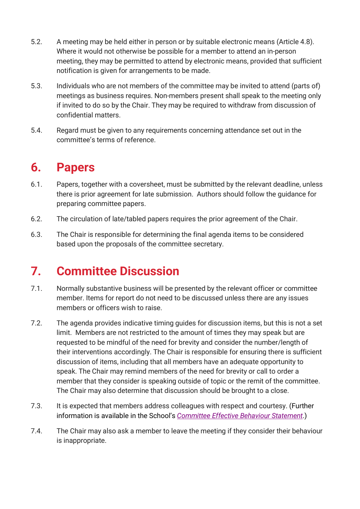- 5.2. A meeting may be held either in person or by suitable electronic means (Article 4.8). Where it would not otherwise be possible for a member to attend an in-person meeting, they may be permitted to attend by electronic means, provided that sufficient notification is given for arrangements to be made.
- 5.3. Individuals who are not members of the committee may be invited to attend (parts of) meetings as business requires. Non-members present shall speak to the meeting only if invited to do so by the Chair. They may be required to withdraw from discussion of confidential matters.
- 5.4. Regard must be given to any requirements concerning attendance set out in the committee's terms of reference.

### **6. Papers**

- 6.1. Papers, together with a coversheet, must be submitted by the relevant deadline, unless there is prior agreement for late submission. Authors should follow the guidance for preparing committee papers.
- 6.2. The circulation of late/tabled papers requires the prior agreement of the Chair.
- 6.3. The Chair is responsible for determining the final agenda items to be considered based upon the proposals of the committee secretary.

### **7. Committee Discussion**

- 7.1. Normally substantive business will be presented by the relevant officer or committee member. Items for report do not need to be discussed unless there are any issues members or officers wish to raise.
- 7.2. The agenda provides indicative timing guides for discussion items, but this is not a set limit. Members are not restricted to the amount of times they may speak but are requested to be mindful of the need for brevity and consider the number/length of their interventions accordingly. The Chair is responsible for ensuring there is sufficient discussion of items, including that all members have an adequate opportunity to speak. The Chair may remind members of the need for brevity or call to order a member that they consider is speaking outside of topic or the remit of the committee. The Chair may also determine that discussion should be brought to a close.
- 7.3. It is expected that members address colleagues with respect and courtesy. (Further information is available in the School's *[Committee Effective Behaviour Statement](https://info.lse.ac.uk/staff/services/Policies-and-procedures/Assets/Documents/internal/comEffBehSta.pdf#id_token=eyJ0eXAiOiJKV1QiLCJhbGciOiJSUzI1NiIsIng1dCI6ImFlRVVnYm1aRzBxZ3loSXlUTlRnOXROemZ3WSIsImtpZCI6ImFlRVVnYm1aRzBxZ3loSXlUTlRnOXROemZ3WSJ9.eyJpc3MiOiJodHRwczovL2Ntcy1pbHNlLmNsb3VkLmNvbnRlbnNpcy5jb20vYXV0aGVudGljYXRlIiwiYXVkIjoiV2Vic2l0ZUFkZnNDbGllbnQiLCJleHAiOjE2Mzk2NjgzNjEsIm5iZiI6MTYzOTY2ODA2MSwibm9uY2UiOiJlYzViZGI1ZDgzODY0NjU0OWIwNmNkM2E4NmQ5ZDQ1NiIsImlhdCI6MTYzOTY2ODA2MSwic2lkIjoiMjdlOWVhYjI1MTQ3NGU1YTVjMmJiYTMzYzMyNTU2YTQiLCJzdWIiOiJlNThkZmUxYy1hNzQxLTQ0OGUtOThiYy00NDVlOTk3ZDgyNmYiLCJhdXRoX3RpbWUiOjE2Mzk2NjgwNjEsImlkcCI6Imlkc3J2IiwiYW1yIjpbInBhc3N3b3JkIl19.U-61qNPoByoU4vyjnIz3aT2joc6ldNcjOGEv34oMDc4f3maJeEaXkGkF7K4kyMpm2w8HuApLbiSpbOzBlHneBCHqyUp6BNmzksxRV2-fAslWa2fxOfaIwcaqGGOt3w2TuD3Ps3RbZ_JrFVZ0sMp8eypEodNwKgpO2djIAK6GF_YuAGoPF_3fg8llQOTY4et6nREOH1xtA-egrPSSxjZ_n0vLf1wtwJVZ_0YS9fwFdqP8trD9QxzvbzapK8pg3iGwCmVNubjZHkWO4ECXdr_hve-rhWdFEk2PUzHfY1lcO7KBqfuq3vWvIPnSSNsRj0_4YZfS2Mib_ZrZ4TgY7kWMXw&scope=openid&state=102167e8aaa94275b109ff1fe196a355&session_state=cU93yntMXscstuTuWK_pvUUSn02wLl-l6EvaOcNsd74.e00f7216a76542bb48193781c5ee4467)*.)
- 7.4. The Chair may also ask a member to leave the meeting if they consider their behaviour is inappropriate.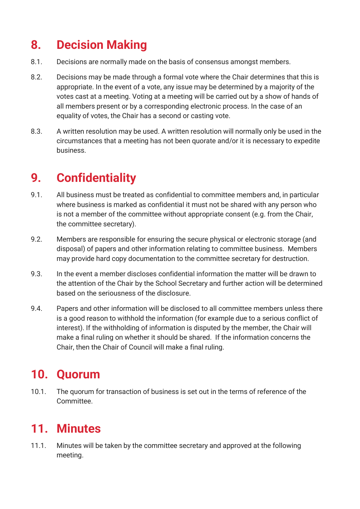# **8. Decision Making**

- 8.1. Decisions are normally made on the basis of consensus amongst members.
- 8.2. Decisions may be made through a formal vote where the Chair determines that this is appropriate. In the event of a vote, any issue may be determined by a majority of the votes cast at a meeting. Voting at a meeting will be carried out by a show of hands of all members present or by a corresponding electronic process. In the case of an equality of votes, the Chair has a second or casting vote.
- 8.3. A written resolution may be used. A written resolution will normally only be used in the circumstances that a meeting has not been quorate and/or it is necessary to expedite business.

# **9. Confidentiality**

- 9.1. All business must be treated as confidential to committee members and, in particular where business is marked as confidential it must not be shared with any person who is not a member of the committee without appropriate consent (e.g. from the Chair, the committee secretary).
- 9.2. Members are responsible for ensuring the secure physical or electronic storage (and disposal) of papers and other information relating to committee business. Members may provide hard copy documentation to the committee secretary for destruction.
- 9.3. In the event a member discloses confidential information the matter will be drawn to the attention of the Chair by the School Secretary and further action will be determined based on the seriousness of the disclosure.
- 9.4. Papers and other information will be disclosed to all committee members unless there is a good reason to withhold the information (for example due to a serious conflict of interest). If the withholding of information is disputed by the member, the Chair will make a final ruling on whether it should be shared. If the information concerns the Chair, then the Chair of Council will make a final ruling.

### **10. Quorum**

10.1. The quorum for transaction of business is set out in the terms of reference of the Committee.

### **11. Minutes**

11.1. Minutes will be taken by the committee secretary and approved at the following meeting.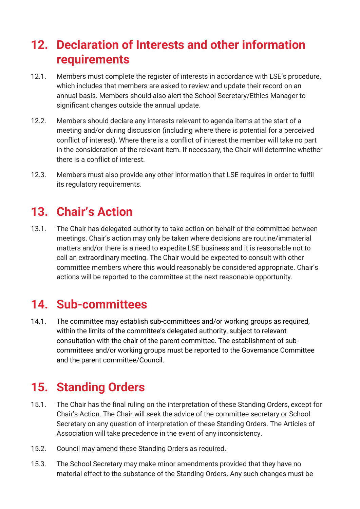### **12. Declaration of Interests and other information requirements**

- 12.1. Members must complete the register of interests in accordance with LSE's procedure, which includes that members are asked to review and update their record on an annual basis. Members should also alert the School Secretary/Ethics Manager to significant changes outside the annual update.
- 12.2. Members should declare any interests relevant to agenda items at the start of a meeting and/or during discussion (including where there is potential for a perceived conflict of interest). Where there is a conflict of interest the member will take no part in the consideration of the relevant item. If necessary, the Chair will determine whether there is a conflict of interest.
- 12.3. Members must also provide any other information that LSE requires in order to fulfil its regulatory requirements.

### **13. Chair's Action**

13.1. The Chair has delegated authority to take action on behalf of the committee between meetings. Chair's action may only be taken where decisions are routine/immaterial matters and/or there is a need to expedite LSE business and it is reasonable not to call an extraordinary meeting. The Chair would be expected to consult with other committee members where this would reasonably be considered appropriate. Chair's actions will be reported to the committee at the next reasonable opportunity.

#### **14. Sub-committees**

14.1. The committee may establish sub-committees and/or working groups as required, within the limits of the committee's delegated authority, subject to relevant consultation with the chair of the parent committee. The establishment of subcommittees and/or working groups must be reported to the Governance Committee and the parent committee/Council.

# **15. Standing Orders**

- 15.1. The Chair has the final ruling on the interpretation of these Standing Orders, except for Chair's Action. The Chair will seek the advice of the committee secretary or School Secretary on any question of interpretation of these Standing Orders. The Articles of Association will take precedence in the event of any inconsistency.
- 15.2. Council may amend these Standing Orders as required.
- 15.3. The School Secretary may make minor amendments provided that they have no material effect to the substance of the Standing Orders. Any such changes must be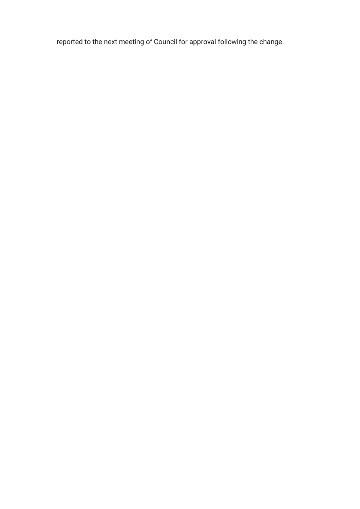reported to the next meeting of Council for approval following the change.